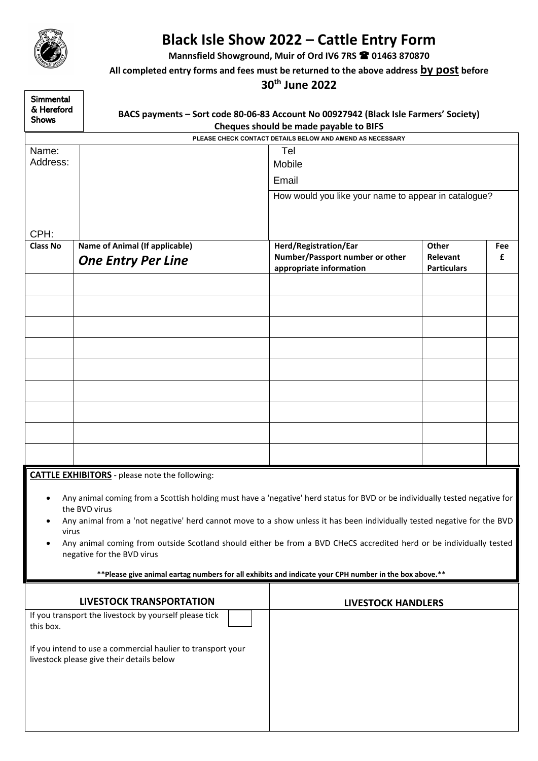

## **Black Isle Show 2022 – Cattle Entry Form**

**Mannsfield Showground, Muir of Ord IV6 7RS 01463 870870**

## **All completed entry forms and fees must be returned to the above address by post before**

## **30th June 2022**

| <b>Simmental</b><br>& Hereford<br><b>Shows</b>                                                                                                                 |                                                                                                          | BACS payments - Sort code 80-06-83 Account No 00927942 (Black Isle Farmers' Society)<br>Cheques should be made payable to BIFS |                                |     |  |  |  |  |  |  |
|----------------------------------------------------------------------------------------------------------------------------------------------------------------|----------------------------------------------------------------------------------------------------------|--------------------------------------------------------------------------------------------------------------------------------|--------------------------------|-----|--|--|--|--|--|--|
| PLEASE CHECK CONTACT DETAILS BELOW AND AMEND AS NECESSARY                                                                                                      |                                                                                                          |                                                                                                                                |                                |     |  |  |  |  |  |  |
| Name:<br>Address:                                                                                                                                              |                                                                                                          | Tel<br>Mobile                                                                                                                  |                                |     |  |  |  |  |  |  |
|                                                                                                                                                                |                                                                                                          | Email                                                                                                                          |                                |     |  |  |  |  |  |  |
|                                                                                                                                                                |                                                                                                          | How would you like your name to appear in catalogue?                                                                           |                                |     |  |  |  |  |  |  |
|                                                                                                                                                                |                                                                                                          |                                                                                                                                |                                |     |  |  |  |  |  |  |
| CPH:                                                                                                                                                           |                                                                                                          |                                                                                                                                |                                |     |  |  |  |  |  |  |
| Class No                                                                                                                                                       | <b>Name of Animal (If applicable)</b>                                                                    | Herd/Registration/Ear                                                                                                          | Other                          | Fee |  |  |  |  |  |  |
|                                                                                                                                                                | <b>One Entry Per Line</b>                                                                                | Number/Passport number or other<br>appropriate information                                                                     | Relevant<br><b>Particulars</b> | £   |  |  |  |  |  |  |
|                                                                                                                                                                |                                                                                                          |                                                                                                                                |                                |     |  |  |  |  |  |  |
|                                                                                                                                                                |                                                                                                          |                                                                                                                                |                                |     |  |  |  |  |  |  |
|                                                                                                                                                                |                                                                                                          |                                                                                                                                |                                |     |  |  |  |  |  |  |
|                                                                                                                                                                |                                                                                                          |                                                                                                                                |                                |     |  |  |  |  |  |  |
|                                                                                                                                                                |                                                                                                          |                                                                                                                                |                                |     |  |  |  |  |  |  |
|                                                                                                                                                                |                                                                                                          |                                                                                                                                |                                |     |  |  |  |  |  |  |
|                                                                                                                                                                |                                                                                                          |                                                                                                                                |                                |     |  |  |  |  |  |  |
|                                                                                                                                                                |                                                                                                          |                                                                                                                                |                                |     |  |  |  |  |  |  |
|                                                                                                                                                                |                                                                                                          |                                                                                                                                |                                |     |  |  |  |  |  |  |
|                                                                                                                                                                |                                                                                                          |                                                                                                                                |                                |     |  |  |  |  |  |  |
|                                                                                                                                                                |                                                                                                          |                                                                                                                                |                                |     |  |  |  |  |  |  |
| <b>CATTLE EXHIBITORS</b> - please note the following:                                                                                                          |                                                                                                          |                                                                                                                                |                                |     |  |  |  |  |  |  |
| Any animal coming from a Scottish holding must have a 'negative' herd status for BVD or be individually tested negative for                                    |                                                                                                          |                                                                                                                                |                                |     |  |  |  |  |  |  |
| the BVD virus<br>Any animal from a 'not negative' herd cannot move to a show unless it has been individually tested negative for the BVD<br>$\bullet$          |                                                                                                          |                                                                                                                                |                                |     |  |  |  |  |  |  |
| virus                                                                                                                                                          |                                                                                                          |                                                                                                                                |                                |     |  |  |  |  |  |  |
| Any animal coming from outside Scotland should either be from a BVD CHeCS accredited herd or be individually tested<br>$\bullet$<br>negative for the BVD virus |                                                                                                          |                                                                                                                                |                                |     |  |  |  |  |  |  |
| ** Please give animal eartag numbers for all exhibits and indicate your CPH number in the box above.**                                                         |                                                                                                          |                                                                                                                                |                                |     |  |  |  |  |  |  |
|                                                                                                                                                                |                                                                                                          |                                                                                                                                |                                |     |  |  |  |  |  |  |
|                                                                                                                                                                | <b>LIVESTOCK TRANSPORTATION</b>                                                                          | <b>LIVESTOCK HANDLERS</b>                                                                                                      |                                |     |  |  |  |  |  |  |
| If you transport the livestock by yourself please tick<br>this box.                                                                                            |                                                                                                          |                                                                                                                                |                                |     |  |  |  |  |  |  |
|                                                                                                                                                                | If you intend to use a commercial haulier to transport your<br>livestock please give their details below |                                                                                                                                |                                |     |  |  |  |  |  |  |
|                                                                                                                                                                |                                                                                                          |                                                                                                                                |                                |     |  |  |  |  |  |  |